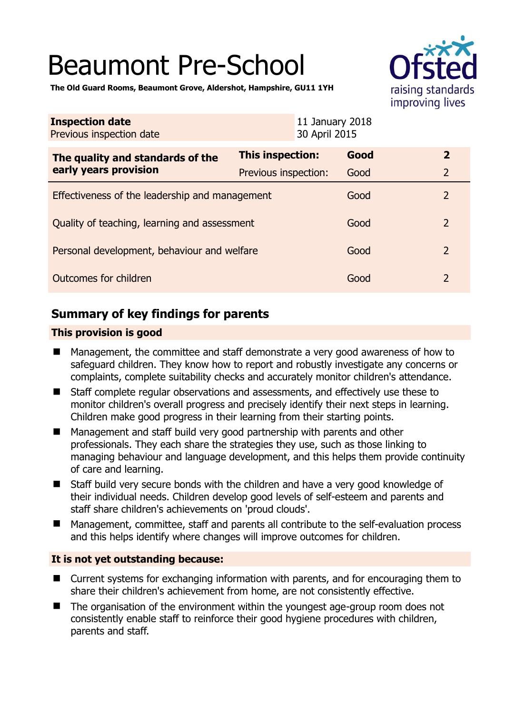# Beaumont Pre-School



**The Old Guard Rooms, Beaumont Grove, Aldershot, Hampshire, GU11 1YH** 

| <b>Inspection date</b><br>Previous inspection date        | 11 January 2018<br>30 April 2015 |      |                |  |
|-----------------------------------------------------------|----------------------------------|------|----------------|--|
| The quality and standards of the<br>early years provision | This inspection:                 | Good | $\mathbf{2}$   |  |
|                                                           | Previous inspection:             | Good | $\overline{2}$ |  |
| Effectiveness of the leadership and management            |                                  | Good | $\overline{2}$ |  |
| Quality of teaching, learning and assessment              |                                  | Good | $\overline{2}$ |  |
| Personal development, behaviour and welfare               |                                  | Good | $\overline{2}$ |  |
| Outcomes for children                                     |                                  | Good | 2              |  |

# **Summary of key findings for parents**

### **This provision is good**

- Management, the committee and staff demonstrate a very good awareness of how to safeguard children. They know how to report and robustly investigate any concerns or complaints, complete suitability checks and accurately monitor children's attendance.
- Staff complete regular observations and assessments, and effectively use these to monitor children's overall progress and precisely identify their next steps in learning. Children make good progress in their learning from their starting points.
- Management and staff build very good partnership with parents and other professionals. They each share the strategies they use, such as those linking to managing behaviour and language development, and this helps them provide continuity of care and learning.
- Staff build very secure bonds with the children and have a very good knowledge of their individual needs. Children develop good levels of self-esteem and parents and staff share children's achievements on 'proud clouds'.
- Management, committee, staff and parents all contribute to the self-evaluation process and this helps identify where changes will improve outcomes for children.

## **It is not yet outstanding because:**

- Current systems for exchanging information with parents, and for encouraging them to share their children's achievement from home, are not consistently effective.
- The organisation of the environment within the youngest age-group room does not consistently enable staff to reinforce their good hygiene procedures with children, parents and staff.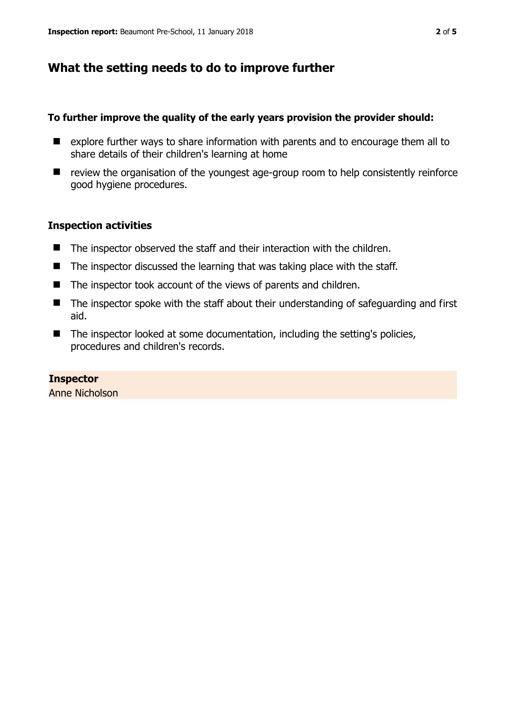## **What the setting needs to do to improve further**

#### **To further improve the quality of the early years provision the provider should:**

- explore further ways to share information with parents and to encourage them all to share details of their children's learning at home
- review the organisation of the youngest age-group room to help consistently reinforce good hygiene procedures.

#### **Inspection activities**

- The inspector observed the staff and their interaction with the children.
- $\blacksquare$  The inspector discussed the learning that was taking place with the staff.
- The inspector took account of the views of parents and children.
- The inspector spoke with the staff about their understanding of safeguarding and first aid.
- The inspector looked at some documentation, including the setting's policies, procedures and children's records.

#### **Inspector**  Anne Nicholson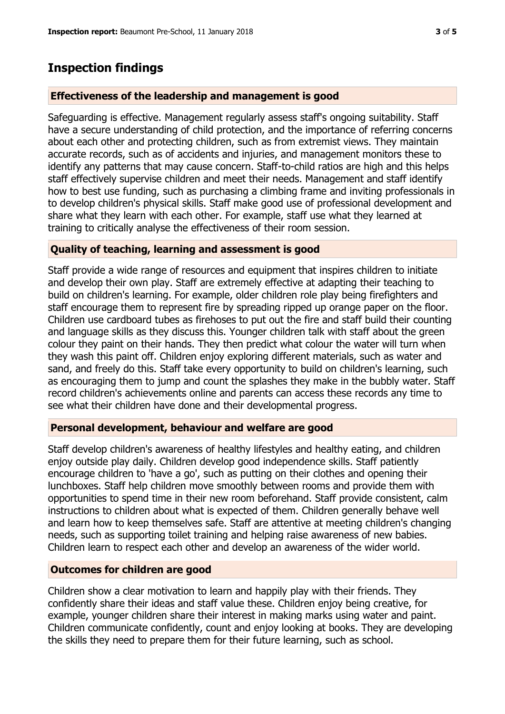## **Inspection findings**

#### **Effectiveness of the leadership and management is good**

Safeguarding is effective. Management regularly assess staff's ongoing suitability. Staff have a secure understanding of child protection, and the importance of referring concerns about each other and protecting children, such as from extremist views. They maintain accurate records, such as of accidents and injuries, and management monitors these to identify any patterns that may cause concern. Staff-to-child ratios are high and this helps staff effectively supervise children and meet their needs. Management and staff identify how to best use funding, such as purchasing a climbing frame and inviting professionals in to develop children's physical skills. Staff make good use of professional development and share what they learn with each other. For example, staff use what they learned at training to critically analyse the effectiveness of their room session.

#### **Quality of teaching, learning and assessment is good**

Staff provide a wide range of resources and equipment that inspires children to initiate and develop their own play. Staff are extremely effective at adapting their teaching to build on children's learning. For example, older children role play being firefighters and staff encourage them to represent fire by spreading ripped up orange paper on the floor. Children use cardboard tubes as firehoses to put out the fire and staff build their counting and language skills as they discuss this. Younger children talk with staff about the green colour they paint on their hands. They then predict what colour the water will turn when they wash this paint off. Children enjoy exploring different materials, such as water and sand, and freely do this. Staff take every opportunity to build on children's learning, such as encouraging them to jump and count the splashes they make in the bubbly water. Staff record children's achievements online and parents can access these records any time to see what their children have done and their developmental progress.

#### **Personal development, behaviour and welfare are good**

Staff develop children's awareness of healthy lifestyles and healthy eating, and children enjoy outside play daily. Children develop good independence skills. Staff patiently encourage children to 'have a go', such as putting on their clothes and opening their lunchboxes. Staff help children move smoothly between rooms and provide them with opportunities to spend time in their new room beforehand. Staff provide consistent, calm instructions to children about what is expected of them. Children generally behave well and learn how to keep themselves safe. Staff are attentive at meeting children's changing needs, such as supporting toilet training and helping raise awareness of new babies. Children learn to respect each other and develop an awareness of the wider world.

#### **Outcomes for children are good**

Children show a clear motivation to learn and happily play with their friends. They confidently share their ideas and staff value these. Children enjoy being creative, for example, younger children share their interest in making marks using water and paint. Children communicate confidently, count and enjoy looking at books. They are developing the skills they need to prepare them for their future learning, such as school.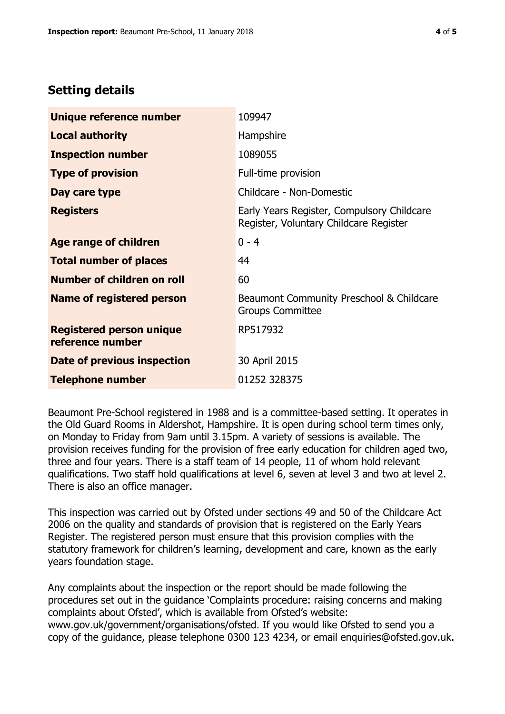## **Setting details**

| Unique reference number                             | 109947                                                                               |  |
|-----------------------------------------------------|--------------------------------------------------------------------------------------|--|
| <b>Local authority</b>                              | Hampshire                                                                            |  |
| <b>Inspection number</b>                            | 1089055                                                                              |  |
| <b>Type of provision</b>                            | Full-time provision                                                                  |  |
| Day care type                                       | Childcare - Non-Domestic                                                             |  |
| <b>Registers</b>                                    | Early Years Register, Compulsory Childcare<br>Register, Voluntary Childcare Register |  |
| <b>Age range of children</b>                        | $0 - 4$                                                                              |  |
| <b>Total number of places</b>                       | 44                                                                                   |  |
| Number of children on roll                          | 60                                                                                   |  |
| Name of registered person                           | Beaumont Community Preschool & Childcare<br><b>Groups Committee</b>                  |  |
| <b>Registered person unique</b><br>reference number | RP517932                                                                             |  |
| Date of previous inspection                         | 30 April 2015                                                                        |  |
| <b>Telephone number</b>                             | 01252 328375                                                                         |  |

Beaumont Pre-School registered in 1988 and is a committee-based setting. It operates in the Old Guard Rooms in Aldershot, Hampshire. It is open during school term times only, on Monday to Friday from 9am until 3.15pm. A variety of sessions is available. The provision receives funding for the provision of free early education for children aged two, three and four years. There is a staff team of 14 people, 11 of whom hold relevant qualifications. Two staff hold qualifications at level 6, seven at level 3 and two at level 2. There is also an office manager.

This inspection was carried out by Ofsted under sections 49 and 50 of the Childcare Act 2006 on the quality and standards of provision that is registered on the Early Years Register. The registered person must ensure that this provision complies with the statutory framework for children's learning, development and care, known as the early years foundation stage.

Any complaints about the inspection or the report should be made following the procedures set out in the guidance 'Complaints procedure: raising concerns and making complaints about Ofsted', which is available from Ofsted's website: www.gov.uk/government/organisations/ofsted. If you would like Ofsted to send you a copy of the guidance, please telephone 0300 123 4234, or email enquiries@ofsted.gov.uk.